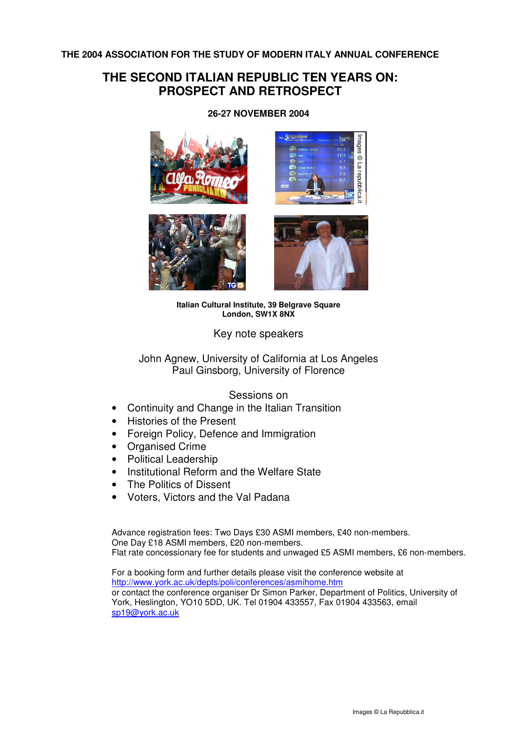**THE 2004 ASSOCIATION FOR THE STUDY OF MODERN ITALY ANNUAL CONFERENCE** 

# **THE SECOND ITALIAN REPUBLIC TEN YEARS ON: PROSPECT AND RETROSPECT**



# **26-27 NOVEMBER 2004**

lmages<sup>©</sup> Ĕ repubbl

**Italian Cultural Institute, 39 Belgrave Square London, SW1X 8NX**

Key note speakers

John Agnew, University of California at Los Angeles Paul Ginsborg, University of Florence

# Sessions on

- Continuity and Change in the Italian Transition
- Histories of the Present
- Foreign Policy, Defence and Immigration
- **Organised Crime**
- Political Leadership
- Institutional Reform and the Welfare State
- The Politics of Dissent
- Voters, Victors and the Val Padana

Advance registration fees: Two Days £30 ASMI members, £40 non-members. One Day £18 ASMI members, £20 non-members. Flat rate concessionary fee for students and unwaged £5 ASMI members, £6 non-members.

For a booking form and further details please visit the conference website at http://www.york.ac.uk/depts/poli/conferences/asmihome.htm or contact the conference organiser Dr Simon Parker, Department of Politics, University of York, Heslington, YO10 5DD, UK. Tel 01904 433557, Fax 01904 433563, email sp19@york.ac.uk Images © La Repubblica.it<br>
Images © La Repubblica.it<br>
Images © La Repubblica.it<br>
Images © La Repubblica.it<br>
Images © La Repubblica.it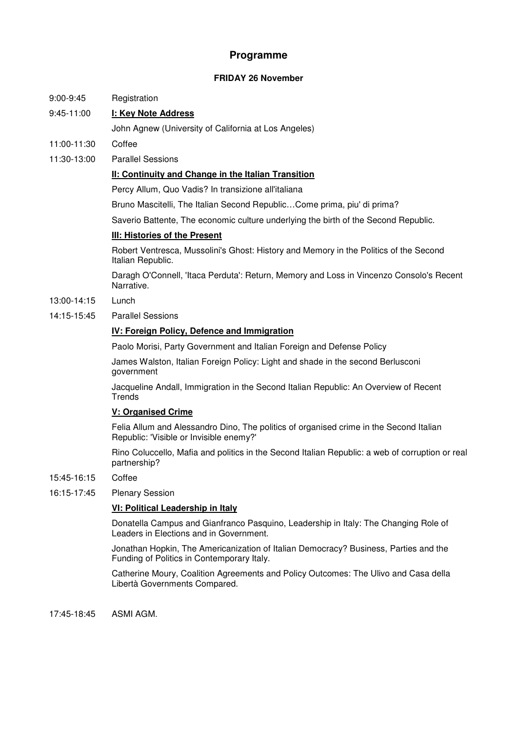# **Programme**

## **FRIDAY 26 November**

## 9:00-9:45 Registration

# 9:45-11:00 **I: Key Note Address**

- John Agnew (University of California at Los Angeles)
- 11:00-11:30 Coffee
- 11:30-13:00 Parallel Sessions

## **II: Continuity and Change in the Italian Transition**

Percy Allum, Quo Vadis? In transizione all'italiana

Bruno Mascitelli, The Italian Second Republic…Come prima, piu' di prima?

Saverio Battente, The economic culture underlying the birth of the Second Republic.

# **III: Histories of the Present**

Robert Ventresca, Mussolini's Ghost: History and Memory in the Politics of the Second Italian Republic.

Daragh O'Connell, 'Itaca Perduta': Return, Memory and Loss in Vincenzo Consolo's Recent Narrative.

- 13:00-14:15 Lunch
- 14:15-15:45 Parallel Sessions

## **IV: Foreign Policy, Defence and Immigration**

Paolo Morisi, Party Government and Italian Foreign and Defense Policy

James Walston, Italian Foreign Policy: Light and shade in the second Berlusconi government

Jacqueline Andall, Immigration in the Second Italian Republic: An Overview of Recent **Trends** 

## **V: Organised Crime**

Felia Allum and Alessandro Dino, The politics of organised crime in the Second Italian Republic: 'Visible or Invisible enemy?'

Rino Coluccello, Mafia and politics in the Second Italian Republic: a web of corruption or real partnership?

- 15:45-16:15 Coffee
- 16:15-17:45 Plenary Session

## **VI: Political Leadership in Italy**

Donatella Campus and Gianfranco Pasquino, Leadership in Italy: The Changing Role of Leaders in Elections and in Government.

Jonathan Hopkin, The Americanization of Italian Democracy? Business, Parties and the Funding of Politics in Contemporary Italy.

Catherine Moury, Coalition Agreements and Policy Outcomes: The Ulivo and Casa della Libertà Governments Compared.

17:45-18:45 ASMI AGM.